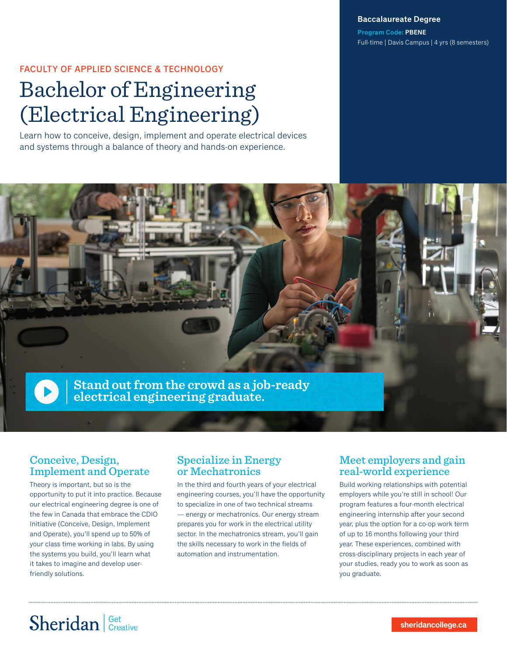**Baccalaureate Degree**

**Program Code: PBENE** Full-time | Davis Campus | 4 yrs (8 semesters)

#### FACULTY OF APPLIED SCIENCE & TECHNOLOGY

# Bachelor of Engineering (Electrical Engineering)

Learn how to conceive, design, implement and operate electrical devices and systems through a balance of theory and hands-on experience.



### Conceive, Design, Implement and Operate

Theory is important, but so is the opportunity to put it into practice. Because our electrical engineering degree is one of the few in Canada that embrace the CDIO Initiative (Conceive, Design, Implement and Operate), you'll spend up to 50% of your class time working in labs. By using the systems you build, you'll learn what it takes to imagine and develop userfriendly solutions.

### Specialize in Energy or Mechatronics

In the third and fourth years of your electrical engineering courses, you'll have the opportunity to specialize in one of two technical streams — energy or mechatronics. Our energy stream prepares you for work in the electrical utility sector. In the mechatronics stream, you'll gain the skills necessary to work in the fields of automation and instrumentation.

### Meet employers and gain real-world experience

Build working relationships with potential employers while you're still in school! Our program features a four-month electrical engineering internship after your second year, plus the option for a co-op work term of up to 16 months following your third year. These experiences, combined with cross-disciplinary projects in each year of your studies, ready you to work as soon as you graduate.

# Sheridan Get Creative